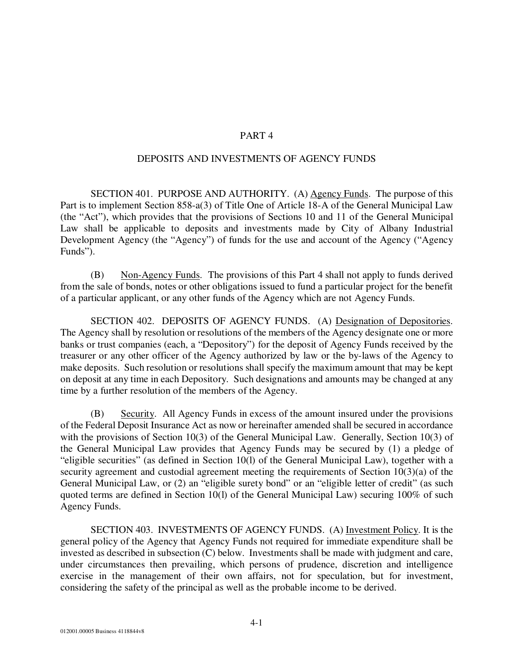## PART 4

## DEPOSITS AND INVESTMENTS OF AGENCY FUNDS

SECTION 401. PURPOSE AND AUTHORITY. (A) Agency Funds. The purpose of this Part is to implement Section 858-a(3) of Title One of Article 18-A of the General Municipal Law (the "Act"), which provides that the provisions of Sections 10 and 11 of the General Municipal Law shall be applicable to deposits and investments made by City of Albany Industrial Development Agency (the "Agency") of funds for the use and account of the Agency ("Agency Funds").

(B) Non-Agency Funds. The provisions of this Part 4 shall not apply to funds derived from the sale of bonds, notes or other obligations issued to fund a particular project for the benefit of a particular applicant, or any other funds of the Agency which are not Agency Funds.

SECTION 402. DEPOSITS OF AGENCY FUNDS. (A) Designation of Depositories. The Agency shall by resolution or resolutions of the members of the Agency designate one or more banks or trust companies (each, a "Depository") for the deposit of Agency Funds received by the treasurer or any other officer of the Agency authorized by law or the by-laws of the Agency to make deposits. Such resolution or resolutions shall specify the maximum amount that may be kept on deposit at any time in each Depository. Such designations and amounts may be changed at any time by a further resolution of the members of the Agency.

(B) Security. All Agency Funds in excess of the amount insured under the provisions of the Federal Deposit Insurance Act as now or hereinafter amended shall be secured in accordance with the provisions of Section 10(3) of the General Municipal Law. Generally, Section 10(3) of the General Municipal Law provides that Agency Funds may be secured by (1) a pledge of "eligible securities" (as defined in Section 10(l) of the General Municipal Law), together with a security agreement and custodial agreement meeting the requirements of Section 10(3)(a) of the General Municipal Law, or (2) an "eligible surety bond" or an "eligible letter of credit" (as such quoted terms are defined in Section 10(l) of the General Municipal Law) securing 100% of such Agency Funds.

SECTION 403. INVESTMENTS OF AGENCY FUNDS. (A) Investment Policy. It is the general policy of the Agency that Agency Funds not required for immediate expenditure shall be invested as described in subsection (C) below. Investments shall be made with judgment and care, under circumstances then prevailing, which persons of prudence, discretion and intelligence exercise in the management of their own affairs, not for speculation, but for investment, considering the safety of the principal as well as the probable income to be derived.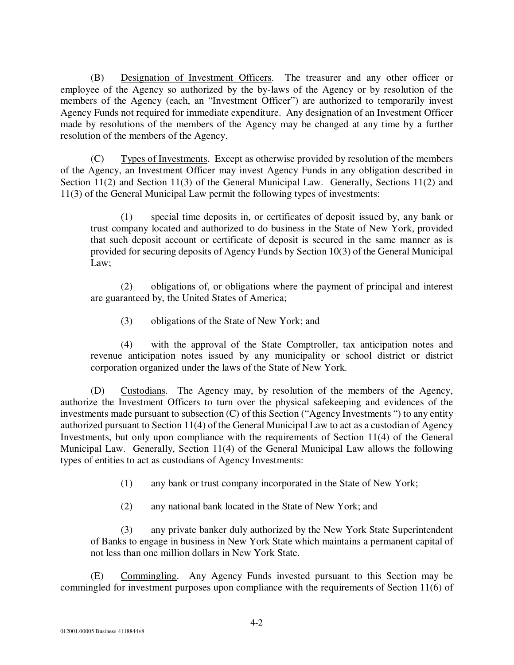(B) Designation of Investment Officers. The treasurer and any other officer or employee of the Agency so authorized by the by-laws of the Agency or by resolution of the members of the Agency (each, an "Investment Officer") are authorized to temporarily invest Agency Funds not required for immediate expenditure. Any designation of an Investment Officer made by resolutions of the members of the Agency may be changed at any time by a further resolution of the members of the Agency.

(C) Types of Investments. Except as otherwise provided by resolution of the members of the Agency, an Investment Officer may invest Agency Funds in any obligation described in Section 11(2) and Section 11(3) of the General Municipal Law. Generally, Sections 11(2) and 11(3) of the General Municipal Law permit the following types of investments:

(1) special time deposits in, or certificates of deposit issued by, any bank or trust company located and authorized to do business in the State of New York, provided that such deposit account or certificate of deposit is secured in the same manner as is provided for securing deposits of Agency Funds by Section 10(3) of the General Municipal Law;

(2) obligations of, or obligations where the payment of principal and interest are guaranteed by, the United States of America;

(3) obligations of the State of New York; and

(4) with the approval of the State Comptroller, tax anticipation notes and revenue anticipation notes issued by any municipality or school district or district corporation organized under the laws of the State of New York.

(D) Custodians. The Agency may, by resolution of the members of the Agency, authorize the Investment Officers to turn over the physical safekeeping and evidences of the investments made pursuant to subsection (C) of this Section ("Agency Investments ") to any entity authorized pursuant to Section 11(4) of the General Municipal Law to act as a custodian of Agency Investments, but only upon compliance with the requirements of Section 11(4) of the General Municipal Law. Generally, Section 11(4) of the General Municipal Law allows the following types of entities to act as custodians of Agency Investments:

- (1) any bank or trust company incorporated in the State of New York;
- (2) any national bank located in the State of New York; and

(3) any private banker duly authorized by the New York State Superintendent of Banks to engage in business in New York State which maintains a permanent capital of not less than one million dollars in New York State.

(E) Commingling. Any Agency Funds invested pursuant to this Section may be commingled for investment purposes upon compliance with the requirements of Section 11(6) of